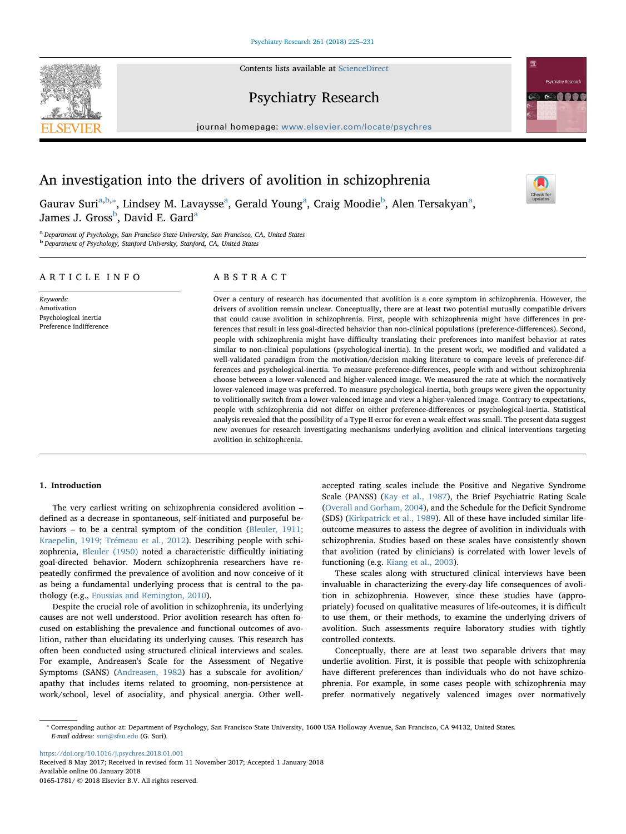Contents lists available at [ScienceDirect](http://www.sciencedirect.com/science/journal/01651781)





[T](http://crossmark.crossref.org/dialog/?doi=10.1016/j.psychres.2018.01.001&domain=pdf)

## Psychiatry Research

journal homepage: [www.elsevier.com/locate/psychres](https://www.elsevier.com/locate/psychres)

# An investigation into the drivers of avolition in schizophrenia

Gaurav Suri<sup>[a,](#page-0-0)[b](#page-0-1),</sup>\*, Lindsey M. L[a](#page-0-0)vaysse<sup>a</sup>, Gerald Young<sup>a</sup>, Craig Moodie<sup>b</sup>, Alen Tersakyan<sup>a</sup>, James J. Gross<sup>[b](#page-0-1)</sup>, D[a](#page-0-0)vid E. Gard<sup>a</sup>

<span id="page-0-1"></span><span id="page-0-0"></span><sup>a</sup> Department of Psychology, San Francisco State University, San Francisco, CA, United States <sup>b</sup> Department of Psychology, Stanford University, Stanford, CA, United States

## ARTICLE INFO

Keywords: Amotivation Psychological inertia Preference indifference

## ABSTRACT

Over a century of research has documented that avolition is a core symptom in schizophrenia. However, the drivers of avolition remain unclear. Conceptually, there are at least two potential mutually compatible drivers that could cause avolition in schizophrenia. First, people with schizophrenia might have differences in preferences that result in less goal-directed behavior than non-clinical populations (preference-differences). Second, people with schizophrenia might have difficulty translating their preferences into manifest behavior at rates similar to non-clinical populations (psychological-inertia). In the present work, we modified and validated a well-validated paradigm from the motivation/decision making literature to compare levels of preference-differences and psychological-inertia. To measure preference-differences, people with and without schizophrenia choose between a lower-valenced and higher-valenced image. We measured the rate at which the normatively lower-valenced image was preferred. To measure psychological-inertia, both groups were given the opportunity to volitionally switch from a lower-valenced image and view a higher-valenced image. Contrary to expectations, people with schizophrenia did not differ on either preference-differences or psychological-inertia. Statistical analysis revealed that the possibility of a Type II error for even a weak effect was small. The present data suggest new avenues for research investigating mechanisms underlying avolition and clinical interventions targeting avolition in schizophrenia.

#### 1. Introduction

The very earliest writing on schizophrenia considered avolition – defined as a decrease in spontaneous, self-initiated and purposeful be-haviors – to be a central symptom of the condition [\(Bleuler, 1911;](#page-5-0) [Kraepelin, 1919; Trémeau et al., 2012\)](#page-5-0). Describing people with schizophrenia, [Bleuler \(1950\)](#page-5-1) noted a characteristic difficultly initiating goal-directed behavior. Modern schizophrenia researchers have repeatedly confirmed the prevalence of avolition and now conceive of it as being a fundamental underlying process that is central to the pathology (e.g., [Foussias and Remington, 2010](#page-5-2)).

Despite the crucial role of avolition in schizophrenia, its underlying causes are not well understood. Prior avolition research has often focused on establishing the prevalence and functional outcomes of avolition, rather than elucidating its underlying causes. This research has often been conducted using structured clinical interviews and scales. For example, Andreasen's Scale for the Assessment of Negative Symptoms (SANS) [\(Andreasen, 1982](#page-5-3)) has a subscale for avolition/ apathy that includes items related to grooming, non-persistence at work/school, level of asociality, and physical anergia. Other wellaccepted rating scales include the Positive and Negative Syndrome Scale (PANSS) [\(Kay et al., 1987\)](#page-6-0), the Brief Psychiatric Rating Scale ([Overall and Gorham, 2004\)](#page-6-1), and the Schedule for the Deficit Syndrome (SDS) ([Kirkpatrick et al., 1989](#page-6-2)). All of these have included similar lifeoutcome measures to assess the degree of avolition in individuals with schizophrenia. Studies based on these scales have consistently shown that avolition (rated by clinicians) is correlated with lower levels of functioning (e.g. [Kiang et al., 2003\)](#page-6-3).

These scales along with structured clinical interviews have been invaluable in characterizing the every-day life consequences of avolition in schizophrenia. However, since these studies have (appropriately) focused on qualitative measures of life-outcomes, it is difficult to use them, or their methods, to examine the underlying drivers of avolition. Such assessments require laboratory studies with tightly controlled contexts.

Conceptually, there are at least two separable drivers that may underlie avolition. First, it is possible that people with schizophrenia have different preferences than individuals who do not have schizophrenia. For example, in some cases people with schizophrenia may prefer normatively negatively valenced images over normatively

<https://doi.org/10.1016/j.psychres.2018.01.001> Received 8 May 2017; Received in revised form 11 November 2017; Accepted 1 January 2018 Available online 06 January 2018 0165-1781/ © 2018 Elsevier B.V. All rights reserved.

<span id="page-0-2"></span><sup>⁎</sup> Corresponding author at: Department of Psychology, San Francisco State University, 1600 USA Holloway Avenue, San Francisco, CA 94132, United States. E-mail address: [suri@sfsu.edu](mailto:suri@sfsu.edu) (G. Suri).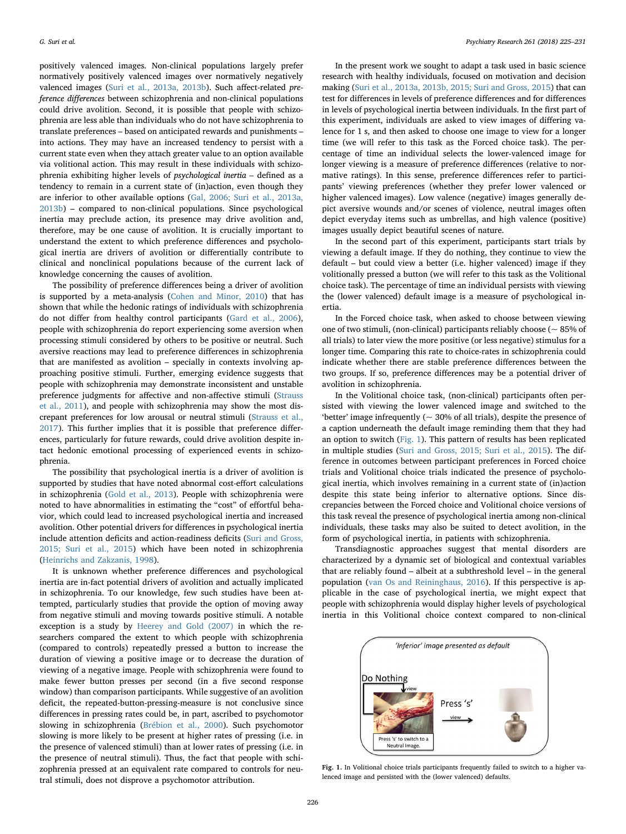positively valenced images. Non-clinical populations largely prefer normatively positively valenced images over normatively negatively valenced images [\(Suri et al., 2013a, 2013b](#page-6-4)). Such affect-related preference differences between schizophrenia and non-clinical populations could drive avolition. Second, it is possible that people with schizophrenia are less able than individuals who do not have schizophrenia to translate preferences – based on anticipated rewards and punishments – into actions. They may have an increased tendency to persist with a current state even when they attach greater value to an option available via volitional action. This may result in these individuals with schizophrenia exhibiting higher levels of psychological inertia – defined as a tendency to remain in a current state of (in)action, even though they are inferior to other available options ([Gal, 2006; Suri et al., 2013a,](#page-5-4) [2013b\)](#page-5-4) – compared to non-clinical populations. Since psychological inertia may preclude action, its presence may drive avolition and, therefore, may be one cause of avolition. It is crucially important to understand the extent to which preference differences and psychological inertia are drivers of avolition or differentially contribute to clinical and nonclinical populations because of the current lack of knowledge concerning the causes of avolition.

The possibility of preference differences being a driver of avolition is supported by a meta-analysis [\(Cohen and Minor, 2010\)](#page-5-5) that has shown that while the hedonic ratings of individuals with schizophrenia do not differ from healthy control participants ([Gard et al., 2006](#page-5-6)), people with schizophrenia do report experiencing some aversion when processing stimuli considered by others to be positive or neutral. Such aversive reactions may lead to preference differences in schizophrenia that are manifested as avolition – specially in contexts involving approaching positive stimuli. Further, emerging evidence suggests that people with schizophrenia may demonstrate inconsistent and unstable preference judgments for affective and non-affective stimuli ([Strauss](#page-6-5) [et al., 2011](#page-6-5)), and people with schizophrenia may show the most discrepant preferences for low arousal or neutral stimuli ([Strauss et al.,](#page-6-6) [2017\)](#page-6-6). This further implies that it is possible that preference differences, particularly for future rewards, could drive avolition despite intact hedonic emotional processing of experienced events in schizophrenia.

The possibility that psychological inertia is a driver of avolition is supported by studies that have noted abnormal cost-effort calculations in schizophrenia ([Gold et al., 2013\)](#page-5-7). People with schizophrenia were noted to have abnormalities in estimating the "cost" of effortful behavior, which could lead to increased psychological inertia and increased avolition. Other potential drivers for differences in psychological inertia include attention deficits and action-readiness deficits ([Suri and Gross,](#page-6-7) [2015; Suri et al., 2015](#page-6-7)) which have been noted in schizophrenia ([Heinrichs and Zakzanis, 1998](#page-6-8)).

It is unknown whether preference differences and psychological inertia are in-fact potential drivers of avolition and actually implicated in schizophrenia. To our knowledge, few such studies have been attempted, particularly studies that provide the option of moving away from negative stimuli and moving towards positive stimuli. A notable exception is a study by [Heerey and Gold \(2007\)](#page-6-9) in which the researchers compared the extent to which people with schizophrenia (compared to controls) repeatedly pressed a button to increase the duration of viewing a positive image or to decrease the duration of viewing of a negative image. People with schizophrenia were found to make fewer button presses per second (in a five second response window) than comparison participants. While suggestive of an avolition deficit, the repeated-button-pressing-measure is not conclusive since differences in pressing rates could be, in part, ascribed to psychomotor slowing in schizophrenia [\(Brébion et al., 2000](#page-5-8)). Such psychomotor slowing is more likely to be present at higher rates of pressing (i.e. in the presence of valenced stimuli) than at lower rates of pressing (i.e. in the presence of neutral stimuli). Thus, the fact that people with schizophrenia pressed at an equivalent rate compared to controls for neutral stimuli, does not disprove a psychomotor attribution.

In the present work we sought to adapt a task used in basic science research with healthy individuals, focused on motivation and decision making ([Suri et al., 2013a, 2013b, 2015; Suri and Gross, 2015](#page-6-7)) that can test for differences in levels of preference differences and for differences in levels of psychological inertia between individuals. In the first part of this experiment, individuals are asked to view images of differing valence for 1 s, and then asked to choose one image to view for a longer time (we will refer to this task as the Forced choice task). The percentage of time an individual selects the lower-valenced image for longer viewing is a measure of preference differences (relative to normative ratings). In this sense, preference differences refer to participants' viewing preferences (whether they prefer lower valenced or higher valenced images). Low valence (negative) images generally depict aversive wounds and/or scenes of violence, neutral images often depict everyday items such as umbrellas, and high valence (positive) images usually depict beautiful scenes of nature.

In the second part of this experiment, participants start trials by viewing a default image. If they do nothing, they continue to view the default – but could view a better (i.e. higher valenced) image if they volitionally pressed a button (we will refer to this task as the Volitional choice task). The percentage of time an individual persists with viewing the (lower valenced) default image is a measure of psychological inertia.

In the Forced choice task, when asked to choose between viewing one of two stimuli, (non-clinical) participants reliably choose (~ 85% of all trials) to later view the more positive (or less negative) stimulus for a longer time. Comparing this rate to choice-rates in schizophrenia could indicate whether there are stable preference differences between the two groups. If so, preference differences may be a potential driver of avolition in schizophrenia.

In the Volitional choice task, (non-clinical) participants often persisted with viewing the lower valenced image and switched to the 'better' image infrequently ( $\sim$  30% of all trials), despite the presence of a caption underneath the default image reminding them that they had an option to switch ([Fig. 1\)](#page-1-0). This pattern of results has been replicated in multiple studies ([Suri and Gross, 2015; Suri et al., 2015\)](#page-6-7). The difference in outcomes between participant preferences in Forced choice trials and Volitional choice trials indicated the presence of psychological inertia, which involves remaining in a current state of (in)action despite this state being inferior to alternative options. Since discrepancies between the Forced choice and Volitional choice versions of this task reveal the presence of psychological inertia among non-clinical individuals, these tasks may also be suited to detect avolition, in the form of psychological inertia, in patients with schizophrenia.

Transdiagnostic approaches suggest that mental disorders are characterized by a dynamic set of biological and contextual variables that are reliably found – albeit at a subthreshold level – in the general population ([van Os and Reininghaus, 2016\)](#page-6-10). If this perspective is applicable in the case of psychological inertia, we might expect that people with schizophrenia would display higher levels of psychological inertia in this Volitional choice context compared to non-clinical

<span id="page-1-0"></span>

Fig. 1. In Volitional choice trials participants frequently failed to switch to a higher valenced image and persisted with the (lower valenced) defaults.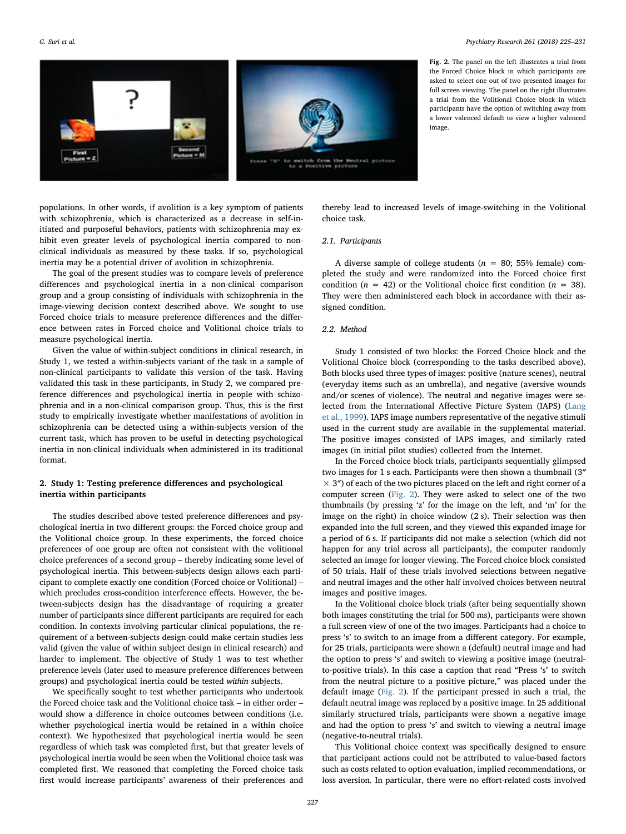<span id="page-2-0"></span>

Fig. 2. The panel on the left illustrates a trial from the Forced Choice block in which participants are asked to select one out of two presented images for full screen viewing. The panel on the right illustrates a trial from the Volitional Choice block in which participants have the option of switching away from a lower valenced default to view a higher valenced image.

populations. In other words, if avolition is a key symptom of patients with schizophrenia, which is characterized as a decrease in self-initiated and purposeful behaviors, patients with schizophrenia may exhibit even greater levels of psychological inertia compared to nonclinical individuals as measured by these tasks. If so, psychological inertia may be a potential driver of avolition in schizophrenia.

The goal of the present studies was to compare levels of preference differences and psychological inertia in a non-clinical comparison group and a group consisting of individuals with schizophrenia in the image-viewing decision context described above. We sought to use Forced choice trials to measure preference differences and the difference between rates in Forced choice and Volitional choice trials to measure psychological inertia.

Given the value of within-subject conditions in clinical research, in Study 1, we tested a within-subjects variant of the task in a sample of non-clinical participants to validate this version of the task. Having validated this task in these participants, in Study 2, we compared preference differences and psychological inertia in people with schizophrenia and in a non-clinical comparison group. Thus, this is the first study to empirically investigate whether manifestations of avolition in schizophrenia can be detected using a within-subjects version of the current task, which has proven to be useful in detecting psychological inertia in non-clinical individuals when administered in its traditional format.

## 2. Study 1: Testing preference differences and psychological inertia within participants

The studies described above tested preference differences and psychological inertia in two different groups: the Forced choice group and the Volitional choice group. In these experiments, the forced choice preferences of one group are often not consistent with the volitional choice preferences of a second group – thereby indicating some level of psychological inertia. This between-subjects design allows each participant to complete exactly one condition (Forced choice or Volitional) – which precludes cross-condition interference effects. However, the between-subjects design has the disadvantage of requiring a greater number of participants since different participants are required for each condition. In contexts involving particular clinical populations, the requirement of a between-subjects design could make certain studies less valid (given the value of within subject design in clinical research) and harder to implement. The objective of Study 1 was to test whether preference levels (later used to measure preference differences between groups) and psychological inertia could be tested within subjects.

We specifically sought to test whether participants who undertook the Forced choice task and the Volitional choice task – in either order – would show a difference in choice outcomes between conditions (i.e. whether psychological inertia would be retained in a within choice context). We hypothesized that psychological inertia would be seen regardless of which task was completed first, but that greater levels of psychological inertia would be seen when the Volitional choice task was completed first. We reasoned that completing the Forced choice task first would increase participants' awareness of their preferences and

thereby lead to increased levels of image-switching in the Volitional choice task.

#### 2.1. Participants

A diverse sample of college students ( $n = 80$ ; 55% female) completed the study and were randomized into the Forced choice first condition ( $n = 42$ ) or the Volitional choice first condition ( $n = 38$ ). They were then administered each block in accordance with their assigned condition.

## 2.2. Method

Study 1 consisted of two blocks: the Forced Choice block and the Volitional Choice block (corresponding to the tasks described above). Both blocks used three types of images: positive (nature scenes), neutral (everyday items such as an umbrella), and negative (aversive wounds and/or scenes of violence). The neutral and negative images were selected from the International Affective Picture System (IAPS) ([Lang](#page-6-11) [et al., 1999\)](#page-6-11). IAPS image numbers representative of the negative stimuli used in the current study are available in the supplemental material. The positive images consisted of IAPS images, and similarly rated images (in initial pilot studies) collected from the Internet.

In the Forced choice block trials, participants sequentially glimpsed two images for 1 s each. Participants were then shown a thumbnail (3″  $\times$  3") of each of the two pictures placed on the left and right corner of a computer screen ([Fig. 2](#page-2-0)). They were asked to select one of the two thumbnails (by pressing 'z' for the image on the left, and 'm' for the image on the right) in choice window (2 s). Their selection was then expanded into the full screen, and they viewed this expanded image for a period of 6 s. If participants did not make a selection (which did not happen for any trial across all participants), the computer randomly selected an image for longer viewing. The Forced choice block consisted of 50 trials. Half of these trials involved selections between negative and neutral images and the other half involved choices between neutral images and positive images.

In the Volitional choice block trials (after being sequentially shown both images constituting the trial for 500 ms), participants were shown a full screen view of one of the two images. Participants had a choice to press 's' to switch to an image from a different category. For example, for 25 trials, participants were shown a (default) neutral image and had the option to press 's' and switch to viewing a positive image (neutralto-positive trials). In this case a caption that read "Press 's' to switch from the neutral picture to a positive picture," was placed under the default image ([Fig. 2\)](#page-2-0). If the participant pressed in such a trial, the default neutral image was replaced by a positive image. In 25 additional similarly structured trials, participants were shown a negative image and had the option to press 's' and switch to viewing a neutral image (negative-to-neutral trials).

This Volitional choice context was specifically designed to ensure that participant actions could not be attributed to value-based factors such as costs related to option evaluation, implied recommendations, or loss aversion. In particular, there were no effort-related costs involved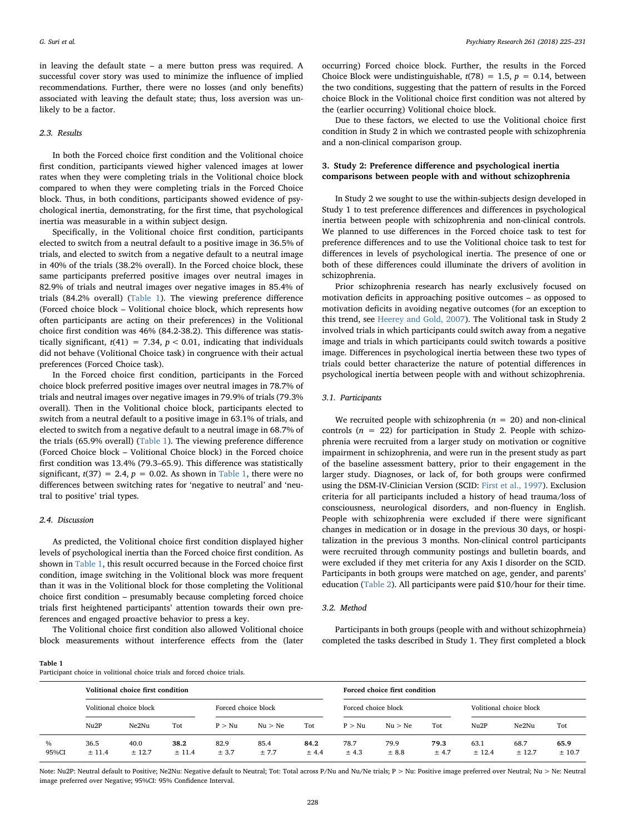in leaving the default state – a mere button press was required. A successful cover story was used to minimize the influence of implied recommendations. Further, there were no losses (and only benefits) associated with leaving the default state; thus, loss aversion was unlikely to be a factor.

#### 2.3. Results

In both the Forced choice first condition and the Volitional choice first condition, participants viewed higher valenced images at lower rates when they were completing trials in the Volitional choice block compared to when they were completing trials in the Forced Choice block. Thus, in both conditions, participants showed evidence of psychological inertia, demonstrating, for the first time, that psychological inertia was measurable in a within subject design.

Specifically, in the Volitional choice first condition, participants elected to switch from a neutral default to a positive image in 36.5% of trials, and elected to switch from a negative default to a neutral image in 40% of the trials (38.2% overall). In the Forced choice block, these same participants preferred positive images over neutral images in 82.9% of trials and neutral images over negative images in 85.4% of trials (84.2% overall) [\(Table 1\)](#page-3-0). The viewing preference difference (Forced choice block – Volitional choice block, which represents how often participants are acting on their preferences) in the Volitional choice first condition was 46% (84.2-38.2). This difference was statistically significant,  $t(41) = 7.34$ ,  $p < 0.01$ , indicating that individuals did not behave (Volitional Choice task) in congruence with their actual preferences (Forced Choice task).

In the Forced choice first condition, participants in the Forced choice block preferred positive images over neutral images in 78.7% of trials and neutral images over negative images in 79.9% of trials (79.3% overall). Then in the Volitional choice block, participants elected to switch from a neutral default to a positive image in 63.1% of trials, and elected to switch from a negative default to a neutral image in 68.7% of the trials (65.9% overall) ([Table 1\)](#page-3-0). The viewing preference difference (Forced Choice block – Volitional Choice block) in the Forced choice first condition was 13.4% (79.3–65.9). This difference was statistically significant,  $t(37) = 2.4$ ,  $p = 0.02$ . As shown in [Table 1,](#page-3-0) there were no differences between switching rates for 'negative to neutral' and 'neutral to positive' trial types.

## 2.4. Discussion

As predicted, the Volitional choice first condition displayed higher levels of psychological inertia than the Forced choice first condition. As shown in [Table 1,](#page-3-0) this result occurred because in the Forced choice first condition, image switching in the Volitional block was more frequent than it was in the Volitional block for those completing the Volitional choice first condition – presumably because completing forced choice trials first heightened participants' attention towards their own preferences and engaged proactive behavior to press a key.

The Volitional choice first condition also allowed Volitional choice block measurements without interference effects from the (later

occurring) Forced choice block. Further, the results in the Forced Choice Block were undistinguishable,  $t(78) = 1.5$ ,  $p = 0.14$ , between the two conditions, suggesting that the pattern of results in the Forced choice Block in the Volitional choice first condition was not altered by the (earlier occurring) Volitional choice block.

Due to these factors, we elected to use the Volitional choice first condition in Study 2 in which we contrasted people with schizophrenia and a non-clinical comparison group.

## 3. Study 2: Preference difference and psychological inertia comparisons between people with and without schizophrenia

In Study 2 we sought to use the within-subjects design developed in Study 1 to test preference differences and differences in psychological inertia between people with schizophrenia and non-clinical controls. We planned to use differences in the Forced choice task to test for preference differences and to use the Volitional choice task to test for differences in levels of psychological inertia. The presence of one or both of these differences could illuminate the drivers of avolition in schizophrenia.

Prior schizophrenia research has nearly exclusively focused on motivation deficits in approaching positive outcomes – as opposed to motivation deficits in avoiding negative outcomes (for an exception to this trend, see [Heerey and Gold, 2007](#page-6-9)). The Volitional task in Study 2 involved trials in which participants could switch away from a negative image and trials in which participants could switch towards a positive image. Differences in psychological inertia between these two types of trials could better characterize the nature of potential differences in psychological inertia between people with and without schizophrenia.

#### 3.1. Participants

We recruited people with schizophrenia ( $n = 20$ ) and non-clinical controls  $(n = 22)$  for participation in Study 2. People with schizophrenia were recruited from a larger study on motivation or cognitive impairment in schizophrenia, and were run in the present study as part of the baseline assessment battery, prior to their engagement in the larger study. Diagnoses, or lack of, for both groups were confirmed using the DSM-IV-Clinician Version (SCID: [First et al., 1997](#page-5-9)). Exclusion criteria for all participants included a history of head trauma/loss of consciousness, neurological disorders, and non-fluency in English. People with schizophrenia were excluded if there were significant changes in medication or in dosage in the previous 30 days, or hospitalization in the previous 3 months. Non-clinical control participants were recruited through community postings and bulletin boards, and were excluded if they met criteria for any Axis I disorder on the SCID. Participants in both groups were matched on age, gender, and parents' education [\(Table 2](#page-4-0)). All participants were paid \$10/hour for their time.

#### 3.2. Method

Participants in both groups (people with and without schizophrneia) completed the tasks described in Study 1. They first completed a block

<span id="page-3-0"></span>

|--|--|

Participant choice in volitional choice trials and forced choice trials.

| r articipain choice in vontional choice trials and forced choice trials. |                                   |                |                |                     |               |               |                               |               |               |                         |                |                |  |
|--------------------------------------------------------------------------|-----------------------------------|----------------|----------------|---------------------|---------------|---------------|-------------------------------|---------------|---------------|-------------------------|----------------|----------------|--|
|                                                                          | Volitional choice first condition |                |                |                     |               |               | Forced choice first condition |               |               |                         |                |                |  |
|                                                                          | Volitional choice block           |                |                | Forced choice block |               |               | Forced choice block           |               |               | Volitional choice block |                |                |  |
|                                                                          | Nu2P                              | Ne2Nu          | Tot            | P > Nu              | Nu > Ne       | Tot           | P > Nu                        | Nu > Ne       | Tot           | Nu2P                    | Ne2Nu          | Tot            |  |
| $\frac{0}{0}$<br>95%CI                                                   | 36.5<br>± 11.4                    | 40.0<br>± 12.7 | 38.2<br>± 11.4 | 82.9<br>± 3.7       | 85.4<br>± 7.7 | 84.2<br>± 4.4 | 78.7<br>± 4.3                 | 79.9<br>± 8.8 | 79.3<br>± 4.7 | 63.1<br>± 12.4          | 68.7<br>± 12.7 | 65.9<br>± 10.7 |  |

Note: Nu2P: Neutral default to Positive; Ne2Nu: Negative default to Neutral; Tot: Total across P/Nu and Nu/Ne trials; P > Nu: Positive image preferred over Neutral; Nu > Ne: Neutral image preferred over Negative; 95%CI: 95% Confidence Interval.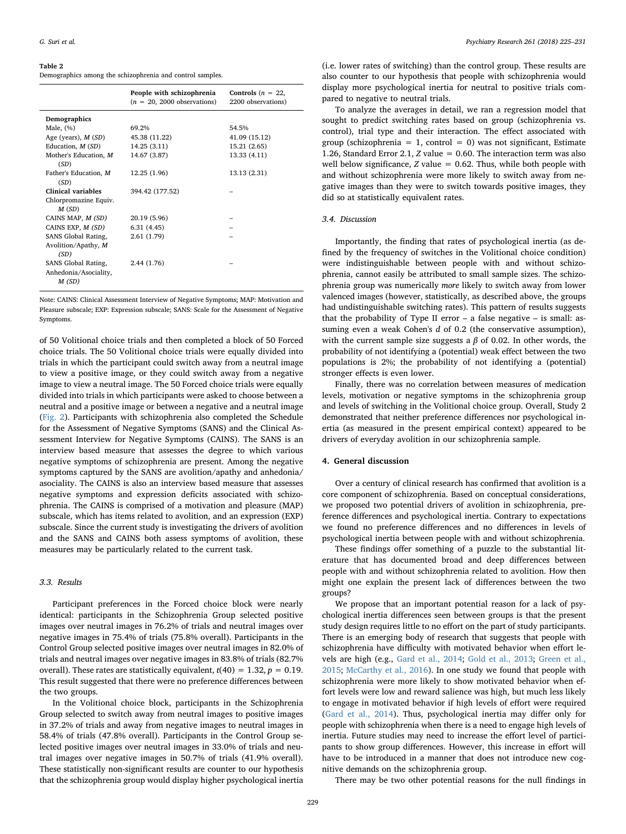#### <span id="page-4-0"></span>Table 2

Demographics among the schizophrenia and control samples.

|                                                               | People with schizophrenia<br>$(n = 20, 2000)$ observations) | Controls $(n = 22,$<br>2200 observations) |
|---------------------------------------------------------------|-------------------------------------------------------------|-------------------------------------------|
| Demographics                                                  |                                                             |                                           |
| Male, $(\% )$                                                 | 69.2%                                                       | 54.5%                                     |
| Age (years), $M(SD)$                                          | 45.38 (11.22)                                               | 41.09 (15.12)                             |
| Education, <i>M (SD)</i>                                      | 14.25 (3.11)                                                | 15.21 (2.65)                              |
| Mother's Education, M<br>(SD)                                 | 14.67 (3.87)                                                | 13.33 (4.11)                              |
| Father's Education, M<br>(SD)                                 | 12.25 (1.96)                                                | 13.13 (2.31)                              |
| Clinical variables                                            | 394.42 (177.52)                                             |                                           |
| Chlorpromazine Equiv.<br>M(SD)                                |                                                             |                                           |
| CAINS MAP, <i>M (SD)</i>                                      | 20.19 (5.96)                                                |                                           |
| CAINS EXP, M (SD)                                             | 6.31(4.45)                                                  |                                           |
| SANS Global Rating,<br>Avolition/Apathy, M                    | 2.61 (1.79)                                                 |                                           |
| (SD)<br>SANS Global Rating,<br>Anhedonia/Asociality,<br>M(SD) | 2.44(1.76)                                                  |                                           |

Note: CAINS: Clinical Assessment Interview of Negative Symptoms; MAP: Motivation and Pleasure subscale; EXP: Expression subscale; SANS: Scale for the Assessment of Negative Symptoms.

of 50 Volitional choice trials and then completed a block of 50 Forced choice trials. The 50 Volitional choice trials were equally divided into trials in which the participant could switch away from a neutral image to view a positive image, or they could switch away from a negative image to view a neutral image. The 50 Forced choice trials were equally divided into trials in which participants were asked to choose between a neutral and a positive image or between a negative and a neutral image ([Fig. 2](#page-2-0)). Participants with schizophrenia also completed the Schedule for the Assessment of Negative Symptoms (SANS) and the Clinical Assessment Interview for Negative Symptoms (CAINS). The SANS is an interview based measure that assesses the degree to which various negative symptoms of schizophrenia are present. Among the negative symptoms captured by the SANS are avolition/apathy and anhedonia/ asociality. The CAINS is also an interview based measure that assesses negative symptoms and expression deficits associated with schizophrenia. The CAINS is comprised of a motivation and pleasure (MAP) subscale, which has items related to avolition, and an expression (EXP) subscale. Since the current study is investigating the drivers of avolition and the SANS and CAINS both assess symptoms of avolition, these measures may be particularly related to the current task.

## 3.3. Results

Participant preferences in the Forced choice block were nearly identical: participants in the Schizophrenia Group selected positive images over neutral images in 76.2% of trials and neutral images over negative images in 75.4% of trials (75.8% overall). Participants in the Control Group selected positive images over neutral images in 82.0% of trials and neutral images over negative images in 83.8% of trials (82.7% overall). These rates are statistically equivalent,  $t(40) = 1.32$ ,  $p = 0.19$ . This result suggested that there were no preference differences between the two groups.

In the Volitional choice block, participants in the Schizophrenia Group selected to switch away from neutral images to positive images in 37.2% of trials and away from negative images to neutral images in 58.4% of trials (47.8% overall). Participants in the Control Group selected positive images over neutral images in 33.0% of trials and neutral images over negative images in 50.7% of trials (41.9% overall). These statistically non-significant results are counter to our hypothesis that the schizophrenia group would display higher psychological inertia

(i.e. lower rates of switching) than the control group. These results are also counter to our hypothesis that people with schizophrenia would display more psychological inertia for neutral to positive trials compared to negative to neutral trials.

To analyze the averages in detail, we ran a regression model that sought to predict switching rates based on group (schizophrenia vs. control), trial type and their interaction. The effect associated with group (schizophrenia = 1, control = 0) was not significant, Estimate 1.26, Standard Error 2.1, Z value = 0.60. The interaction term was also well below significance,  $Z$  value = 0.62. Thus, while both people with and without schizophrenia were more likely to switch away from negative images than they were to switch towards positive images, they did so at statistically equivalent rates.

#### 3.4. Discussion

Importantly, the finding that rates of psychological inertia (as defined by the frequency of switches in the Volitional choice condition) were indistinguishable between people with and without schizophrenia, cannot easily be attributed to small sample sizes. The schizophrenia group was numerically more likely to switch away from lower valenced images (however, statistically, as described above, the groups had undistinguishable switching rates). This pattern of results suggests that the probability of Type II error – a false negative – is small: assuming even a weak Cohen's d of 0.2 (the conservative assumption), with the current sample size suggests a  $\beta$  of 0.02. In other words, the probability of not identifying a (potential) weak effect between the two populations is 2%; the probability of not identifying a (potential) stronger effects is even lower.

Finally, there was no correlation between measures of medication levels, motivation or negative symptoms in the schizophrenia group and levels of switching in the Volitional choice group. Overall, Study 2 demonstrated that neither preference differences nor psychological inertia (as measured in the present empirical context) appeared to be drivers of everyday avolition in our schizophrenia sample.

## 4. General discussion

Over a century of clinical research has confirmed that avolition is a core component of schizophrenia. Based on conceptual considerations, we proposed two potential drivers of avolition in schizophrenia, preference differences and psychological inertia. Contrary to expectations we found no preference differences and no differences in levels of psychological inertia between people with and without schizophrenia.

These findings offer something of a puzzle to the substantial literature that has documented broad and deep differences between people with and without schizophrenia related to avolition. How then might one explain the present lack of differences between the two groups?

We propose that an important potential reason for a lack of psychological inertia differences seen between groups is that the present study design requires little to no effort on the part of study participants. There is an emerging body of research that suggests that people with schizophrenia have difficulty with motivated behavior when effort levels are high (e.g., [Gard et al., 2014](#page-5-10); [Gold et al., 2013](#page-5-7); [Green et al.,](#page-6-12) [2015;](#page-6-12) [McCarthy et al., 2016\)](#page-6-13). In one study we found that people with schizophrenia were more likely to show motivated behavior when effort levels were low and reward salience was high, but much less likely to engage in motivated behavior if high levels of effort were required ([Gard et al., 2014](#page-5-10)). Thus, psychological inertia may differ only for people with schizophrenia when there is a need to engage high levels of inertia. Future studies may need to increase the effort level of participants to show group differences. However, this increase in effort will have to be introduced in a manner that does not introduce new cognitive demands on the schizophrenia group.

There may be two other potential reasons for the null findings in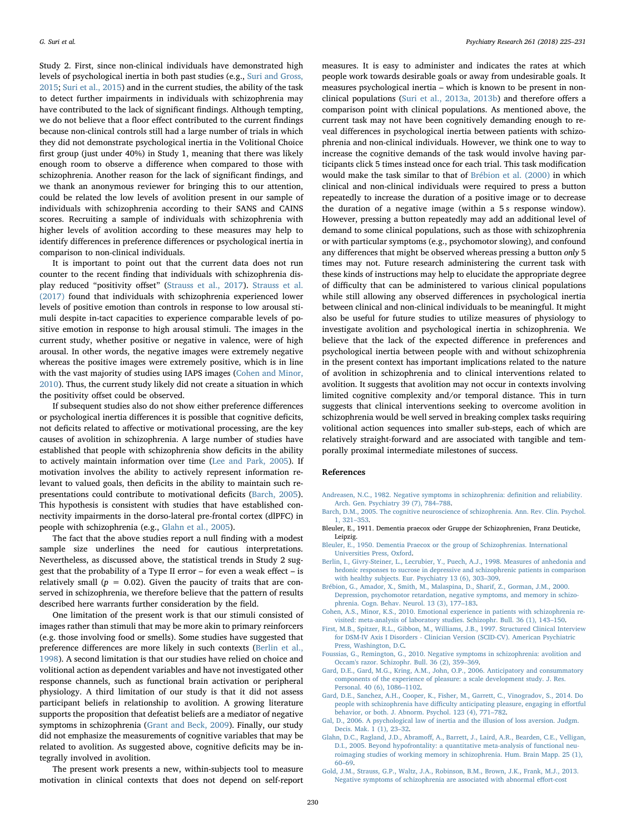Study 2. First, since non-clinical individuals have demonstrated high levels of psychological inertia in both past studies (e.g., [Suri and Gross,](#page-6-7) [2015;](#page-6-7) [Suri et al., 2015\)](#page-6-14) and in the current studies, the ability of the task to detect further impairments in individuals with schizophrenia may have contributed to the lack of significant findings. Although tempting, we do not believe that a floor effect contributed to the current findings because non-clinical controls still had a large number of trials in which they did not demonstrate psychological inertia in the Volitional Choice first group (just under 40%) in Study 1, meaning that there was likely enough room to observe a difference when compared to those with schizophrenia. Another reason for the lack of significant findings, and we thank an anonymous reviewer for bringing this to our attention, could be related the low levels of avolition present in our sample of individuals with schizophrenia according to their SANS and CAINS scores. Recruiting a sample of individuals with schizophrenia with higher levels of avolition according to these measures may help to identify differences in preference differences or psychological inertia in comparison to non-clinical individuals.

It is important to point out that the current data does not run counter to the recent finding that individuals with schizophrenia display reduced "positivity offset" [\(Strauss et al., 2017](#page-6-6)). [Strauss et al.](#page-6-6) [\(2017\)](#page-6-6) found that individuals with schizophrenia experienced lower levels of positive emotion than controls in response to low arousal stimuli despite in-tact capacities to experience comparable levels of positive emotion in response to high arousal stimuli. The images in the current study, whether positive or negative in valence, were of high arousal. In other words, the negative images were extremely negative whereas the positive images were extremely positive, which is in line with the vast majority of studies using IAPS images ([Cohen and Minor,](#page-5-5) [2010\)](#page-5-5). Thus, the current study likely did not create a situation in which the positivity offset could be observed.

If subsequent studies also do not show either preference differences or psychological inertia differences it is possible that cognitive deficits, not deficits related to affective or motivational processing, are the key causes of avolition in schizophrenia. A large number of studies have established that people with schizophrenia show deficits in the ability to actively maintain information over time [\(Lee and Park, 2005\)](#page-6-15). If motivation involves the ability to actively represent information relevant to valued goals, then deficits in the ability to maintain such representations could contribute to motivational deficits ([Barch, 2005](#page-5-11)). This hypothesis is consistent with studies that have established connectivity impairments in the dorso-lateral pre-frontal cortex (dlPFC) in people with schizophrenia (e.g., [Glahn et al., 2005\)](#page-5-12).

The fact that the above studies report a null finding with a modest sample size underlines the need for cautious interpretations. Nevertheless, as discussed above, the statistical trends in Study 2 suggest that the probability of a Type II error – for even a weak effect – is relatively small ( $p = 0.02$ ). Given the paucity of traits that are conserved in schizophrenia, we therefore believe that the pattern of results described here warrants further consideration by the field.

One limitation of the present work is that our stimuli consisted of images rather than stimuli that may be more akin to primary reinforcers (e.g. those involving food or smells). Some studies have suggested that preference differences are more likely in such contexts [\(Berlin et al.,](#page-5-13) [1998\)](#page-5-13). A second limitation is that our studies have relied on choice and volitional action as dependent variables and have not investigated other response channels, such as functional brain activation or peripheral physiology. A third limitation of our study is that it did not assess participant beliefs in relationship to avolition. A growing literature supports the proposition that defeatist beliefs are a mediator of negative symptoms in schizophrenia [\(Grant and Beck, 2009\)](#page-6-16). Finally, our study did not emphasize the measurements of cognitive variables that may be related to avolition. As suggested above, cognitive deficits may be integrally involved in avolition.

The present work presents a new, within-subjects tool to measure motivation in clinical contexts that does not depend on self-report

measures. It is easy to administer and indicates the rates at which people work towards desirable goals or away from undesirable goals. It measures psychological inertia – which is known to be present in nonclinical populations ([Suri et al., 2013a, 2013b](#page-6-4)) and therefore offers a comparison point with clinical populations. As mentioned above, the current task may not have been cognitively demanding enough to reveal differences in psychological inertia between patients with schizophrenia and non-clinical individuals. However, we think one to way to increase the cognitive demands of the task would involve having participants click 5 times instead once for each trial. This task modification would make the task similar to that of [Brébion et al. \(2000\)](#page-5-8) in which clinical and non-clinical individuals were required to press a button repeatedly to increase the duration of a positive image or to decrease the duration of a negative image (within a 5 s response window). However, pressing a button repeatedly may add an additional level of demand to some clinical populations, such as those with schizophrenia or with particular symptoms (e.g., psychomotor slowing), and confound any differences that might be observed whereas pressing a button only 5 times may not. Future research administering the current task with these kinds of instructions may help to elucidate the appropriate degree of difficulty that can be administered to various clinical populations while still allowing any observed differences in psychological inertia between clinical and non-clinical individuals to be meaningful. It might also be useful for future studies to utilize measures of physiology to investigate avolition and psychological inertia in schizophrenia. We believe that the lack of the expected difference in preferences and psychological inertia between people with and without schizophrenia in the present context has important implications related to the nature of avolition in schizophrenia and to clinical interventions related to avolition. It suggests that avolition may not occur in contexts involving limited cognitive complexity and/or temporal distance. This in turn suggests that clinical interventions seeking to overcome avolition in schizophrenia would be well served in breaking complex tasks requiring volitional action sequences into smaller sub-steps, each of which are relatively straight-forward and are associated with tangible and temporally proximal intermediate milestones of success.

#### References

- <span id="page-5-3"></span>[Andreasen, N.C., 1982. Negative symptoms in schizophrenia: de](http://refhub.elsevier.com/S0165-1781(17)30770-9/sbref1)finition and reliability. [Arch. Gen. Psychiatry 39 \(7\), 784](http://refhub.elsevier.com/S0165-1781(17)30770-9/sbref1)–788.
- <span id="page-5-11"></span>[Barch, D.M., 2005. The cognitive neuroscience of schizophrenia. Ann. Rev. Clin. Psychol.](http://refhub.elsevier.com/S0165-1781(17)30770-9/sbref2) [1, 321](http://refhub.elsevier.com/S0165-1781(17)30770-9/sbref2)–353.
- <span id="page-5-0"></span>Bleuler, E., 1911. Dementia praecox oder Gruppe der Schizophrenien, Franz Deuticke, Leipzig.
- <span id="page-5-1"></span>[Bleuler, E., 1950. Dementia Praecox or the group of Schizophrenias. International](http://refhub.elsevier.com/S0165-1781(17)30770-9/sbref3) [Universities Press, Oxford.](http://refhub.elsevier.com/S0165-1781(17)30770-9/sbref3)
- <span id="page-5-13"></span>[Berlin, I., Givry-Steiner, L., Lecrubier, Y., Puech, A.J., 1998. Measures of anhedonia and](http://refhub.elsevier.com/S0165-1781(17)30770-9/sbref4) [hedonic responses to sucrose in depressive and schizophrenic patients in comparison](http://refhub.elsevier.com/S0165-1781(17)30770-9/sbref4) [with healthy subjects. Eur. Psychiatry 13 \(6\), 303](http://refhub.elsevier.com/S0165-1781(17)30770-9/sbref4)–309.
- <span id="page-5-8"></span>[Brébion, G., Amador, X., Smith, M., Malaspina, D., Sharif, Z., Gorman, J.M., 2000.](http://refhub.elsevier.com/S0165-1781(17)30770-9/sbref5) [Depression, psychomotor retardation, negative symptoms, and memory in schizo](http://refhub.elsevier.com/S0165-1781(17)30770-9/sbref5)[phrenia. Cogn. Behav. Neurol. 13 \(3\), 177](http://refhub.elsevier.com/S0165-1781(17)30770-9/sbref5)–183.
- <span id="page-5-5"></span>[Cohen, A.S., Minor, K.S., 2010. Emotional experience in patients with schizophrenia re](http://refhub.elsevier.com/S0165-1781(17)30770-9/sbref6)[visited: meta-analysis of laboratory studies. Schizophr. Bull. 36 \(1\), 143](http://refhub.elsevier.com/S0165-1781(17)30770-9/sbref6)–150.
- <span id="page-5-9"></span>[First, M.B., Spitzer, R.L., Gibbon, M., Williams, J.B., 1997. Structured Clinical Interview](http://refhub.elsevier.com/S0165-1781(17)30770-9/sbref7) [for DSM-IV Axis I Disorders - Clinician Version \(SCID-CV\). American Psychiatric](http://refhub.elsevier.com/S0165-1781(17)30770-9/sbref7) [Press, Washington, D.C](http://refhub.elsevier.com/S0165-1781(17)30770-9/sbref7).
- <span id="page-5-2"></span>[Foussias, G., Remington, G., 2010. Negative symptoms in schizophrenia: avolition and](http://refhub.elsevier.com/S0165-1781(17)30770-9/sbref8) [Occam's razor. Schizophr. Bull. 36 \(2\), 359](http://refhub.elsevier.com/S0165-1781(17)30770-9/sbref8)–369.
- <span id="page-5-6"></span>[Gard, D.E., Gard, M.G., Kring, A.M., John, O.P., 2006. Anticipatory and consummatory](http://refhub.elsevier.com/S0165-1781(17)30770-9/sbref9) [components of the experience of pleasure: a scale development study. J. Res.](http://refhub.elsevier.com/S0165-1781(17)30770-9/sbref9) [Personal. 40 \(6\), 1086](http://refhub.elsevier.com/S0165-1781(17)30770-9/sbref9)–1102.
- <span id="page-5-10"></span>[Gard, D.E., Sanchez, A.H., Cooper, K., Fisher, M., Garrett, C., Vinogradov, S., 2014. Do](http://refhub.elsevier.com/S0165-1781(17)30770-9/sbref10) people with schizophrenia have diffi[culty anticipating pleasure, engaging in e](http://refhub.elsevier.com/S0165-1781(17)30770-9/sbref10)ffortful [behavior, or both. J. Abnorm. Psychol. 123 \(4\), 771](http://refhub.elsevier.com/S0165-1781(17)30770-9/sbref10)–782.
- <span id="page-5-4"></span>[Gal, D., 2006. A psychological law of inertia and the illusion of loss aversion. Judgm.](http://refhub.elsevier.com/S0165-1781(17)30770-9/sbref11) [Decis. Mak. 1 \(1\), 23](http://refhub.elsevier.com/S0165-1781(17)30770-9/sbref11)–32.
- <span id="page-5-12"></span>Glahn, D.C., Ragland, J.D., Abramoff[, A., Barrett, J., Laird, A.R., Bearden, C.E., Velligan,](http://refhub.elsevier.com/S0165-1781(17)30770-9/sbref12) [D.I., 2005. Beyond hypofrontality: a quantitative meta](http://refhub.elsevier.com/S0165-1781(17)30770-9/sbref12)-analysis of functional neu[roimaging studies of working memory in schizophrenia. Hum. Brain Mapp. 25 \(1\),](http://refhub.elsevier.com/S0165-1781(17)30770-9/sbref12) 60–[69](http://refhub.elsevier.com/S0165-1781(17)30770-9/sbref12).
- <span id="page-5-7"></span>[Gold, J.M., Strauss, G.P., Waltz, J.A., Robinson, B.M., Brown, J.K., Frank, M.J., 2013.](http://refhub.elsevier.com/S0165-1781(17)30770-9/sbref13) [Negative symptoms of schizophrenia are associated with abnormal e](http://refhub.elsevier.com/S0165-1781(17)30770-9/sbref13)ffort-cost